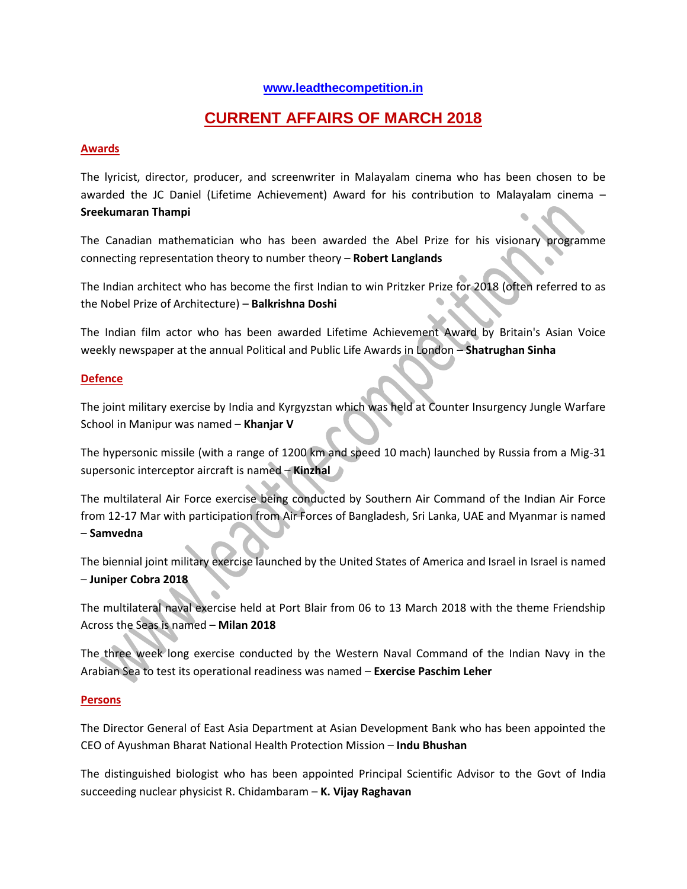#### **[www.leadthecompetition.in](http://www.leadthecompetition.in/)**

# **CURRENT AFFAIRS OF MARCH 2018**

#### **Awards**

The lyricist, director, producer, and screenwriter in Malayalam cinema who has been chosen to be awarded the JC Daniel (Lifetime Achievement) Award for his contribution to Malayalam cinema – **Sreekumaran Thampi**

The Canadian mathematician who has been awarded the Abel Prize for his visionary programme connecting representation theory to number theory – **Robert Langlands**

The Indian architect who has become the first Indian to win Pritzker Prize for 2018 (often referred to as the Nobel Prize of Architecture) – **Balkrishna Doshi**

The Indian film actor who has been awarded Lifetime Achievement Award by Britain's Asian Voice weekly newspaper at the annual Political and Public Life Awards in London – **Shatrughan Sinha**

#### **Defence**

The joint military exercise by India and Kyrgyzstan which was held at Counter Insurgency Jungle Warfare School in Manipur was named – **Khanjar V**

The hypersonic missile (with a range of 1200 km and speed 10 mach) launched by Russia from a Mig-31 supersonic interceptor aircraft is named – **Kinzhal**

The multilateral Air Force exercise being conducted by Southern Air Command of the Indian Air Force from 12-17 Mar with participation from Air Forces of Bangladesh, Sri Lanka, UAE and Myanmar is named – **Samvedna**

The biennial joint military exercise launched by the United States of America and Israel in Israel is named – **Juniper Cobra 2018**

The multilateral naval exercise held at Port Blair from 06 to 13 March 2018 with the theme Friendship Across the Seas is named – **Milan 2018**

The three week long exercise conducted by the Western Naval Command of the Indian Navy in the Arabian Sea to test its operational readiness was named – **Exercise Paschim Leher**

#### **Persons**

The Director General of East Asia Department at Asian Development Bank who has been appointed the CEO of Ayushman Bharat National Health Protection Mission – **Indu Bhushan**

The distinguished biologist who has been appointed Principal Scientific Advisor to the Govt of India succeeding nuclear physicist R. Chidambaram – **K. Vijay Raghavan**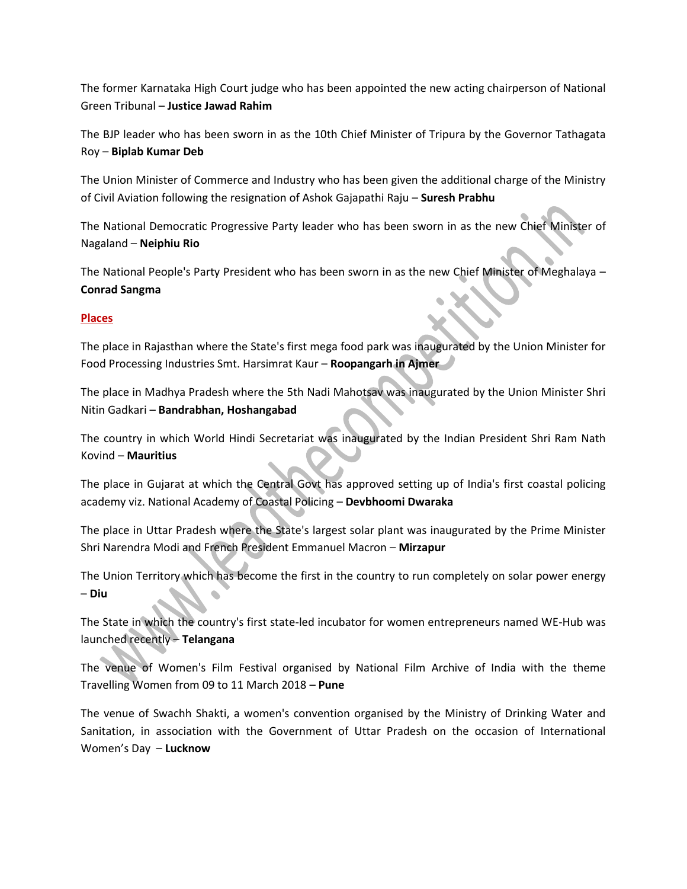The former Karnataka High Court judge who has been appointed the new acting chairperson of National Green Tribunal – **Justice Jawad Rahim**

The BJP leader who has been sworn in as the 10th Chief Minister of Tripura by the Governor Tathagata Roy – **Biplab Kumar Deb**

The Union Minister of Commerce and Industry who has been given the additional charge of the Ministry of Civil Aviation following the resignation of Ashok Gajapathi Raju – **Suresh Prabhu**

The National Democratic Progressive Party leader who has been sworn in as the new Chief Minister of Nagaland – **Neiphiu Rio**

The National People's Party President who has been sworn in as the new Chief Minister of Meghalaya – **Conrad Sangma**

## **Places**

The place in Rajasthan where the State's first mega food park was inaugurated by the Union Minister for Food Processing Industries Smt. Harsimrat Kaur – **Roopangarh in Ajmer**

The place in Madhya Pradesh where the 5th Nadi Mahotsav was inaugurated by the Union Minister Shri Nitin Gadkari – **Bandrabhan, Hoshangabad**

The country in which World Hindi Secretariat was inaugurated by the Indian President Shri Ram Nath Kovind – **Mauritius**

The place in Gujarat at which the Central Govt has approved setting up of India's first coastal policing academy viz. National Academy of Coastal Policing – **Devbhoomi Dwaraka**

The place in Uttar Pradesh where the State's largest solar plant was inaugurated by the Prime Minister Shri Narendra Modi and French President Emmanuel Macron – **Mirzapur**

The Union Territory which has become the first in the country to run completely on solar power energy – **Diu**

The State in which the country's first state-led incubator for women entrepreneurs named WE-Hub was launched recently – **Telangana**

The venue of Women's Film Festival organised by National Film Archive of India with the theme Travelling Women from 09 to 11 March 2018 – **Pune**

The venue of Swachh Shakti, a women's convention organised by the Ministry of Drinking Water and Sanitation, in association with the Government of Uttar Pradesh on the occasion of International Women's Day – **Lucknow**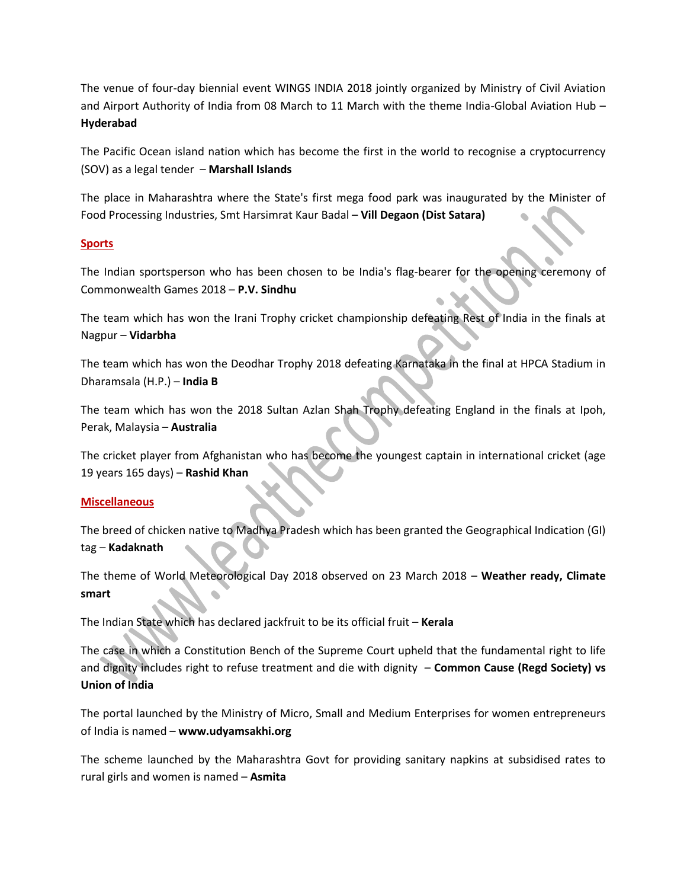The venue of four-day biennial event WINGS INDIA 2018 jointly organized by Ministry of Civil Aviation and Airport Authority of India from 08 March to 11 March with the theme India-Global Aviation Hub – **Hyderabad**

The Pacific Ocean island nation which has become the first in the world to recognise a cryptocurrency (SOV) as a legal tender – **Marshall Islands**

The place in Maharashtra where the State's first mega food park was inaugurated by the Minister of Food Processing Industries, Smt Harsimrat Kaur Badal – **Vill Degaon (Dist Satara)**

#### **Sports**

The Indian sportsperson who has been chosen to be India's flag-bearer for the opening ceremony of Commonwealth Games 2018 – **P.V. Sindhu**

The team which has won the Irani Trophy cricket championship defeating Rest of India in the finals at Nagpur – **Vidarbha**

The team which has won the Deodhar Trophy 2018 defeating Karnataka in the final at HPCA Stadium in Dharamsala (H.P.) – **India B**

The team which has won the 2018 Sultan Azlan Shah Trophy defeating England in the finals at Ipoh, Perak, Malaysia – **Australia**

The cricket player from Afghanistan who has become the youngest captain in international cricket (age 19 years 165 days) – **Rashid Khan**

#### **Miscellaneous**

The breed of chicken native to Madhya Pradesh which has been granted the Geographical Indication (GI) tag – **Kadaknath**

The theme of World Meteorological Day 2018 observed on 23 March 2018 – **Weather ready, Climate smart**

The Indian State which has declared jackfruit to be its official fruit – **Kerala**

The case in which a Constitution Bench of the Supreme Court upheld that the fundamental right to life and dignity includes right to refuse treatment and die with dignity – **Common Cause (Regd Society) vs Union of India**

The portal launched by the Ministry of Micro, Small and Medium Enterprises for women entrepreneurs of India is named – **www.udyamsakhi.org**

The scheme launched by the Maharashtra Govt for providing sanitary napkins at subsidised rates to rural girls and women is named – **Asmita**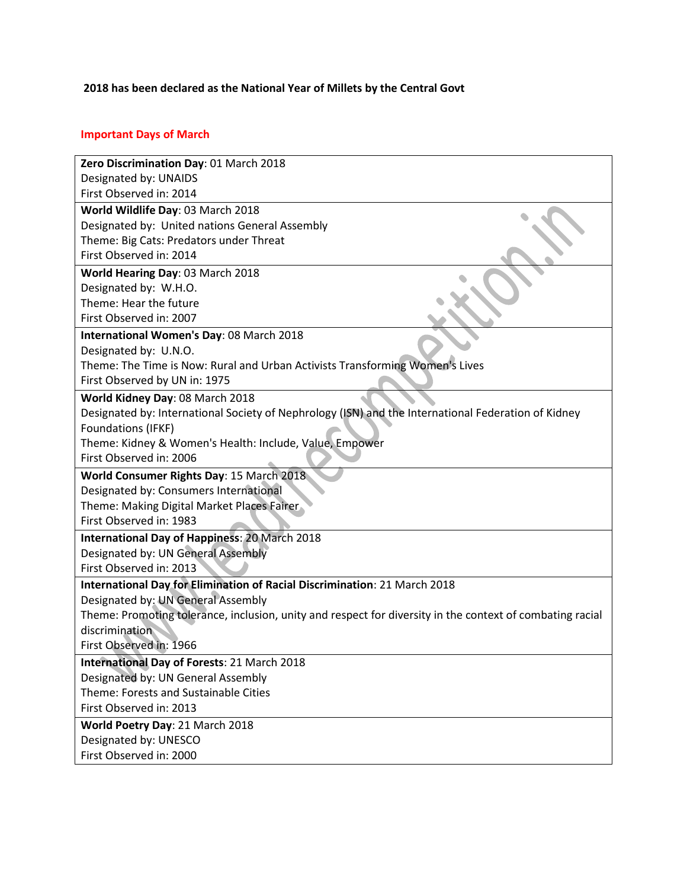## **2018 has been declared as the National Year of Millets by the Central Govt**

## **Important Days of March**

| Zero Discrimination Day: 01 March 2018                                                                    |
|-----------------------------------------------------------------------------------------------------------|
| Designated by: UNAIDS                                                                                     |
| First Observed in: 2014                                                                                   |
| World Wildlife Day: 03 March 2018                                                                         |
| Designated by: United nations General Assembly                                                            |
| Theme: Big Cats: Predators under Threat                                                                   |
| First Observed in: 2014                                                                                   |
| World Hearing Day: 03 March 2018                                                                          |
| Designated by: W.H.O.                                                                                     |
| Theme: Hear the future                                                                                    |
| First Observed in: 2007                                                                                   |
| International Women's Day: 08 March 2018                                                                  |
| Designated by: U.N.O.                                                                                     |
| Theme: The Time is Now: Rural and Urban Activists Transforming Women's Lives                              |
| First Observed by UN in: 1975                                                                             |
| World Kidney Day: 08 March 2018                                                                           |
| Designated by: International Society of Nephrology (ISN) and the International Federation of Kidney       |
| Foundations (IFKF)                                                                                        |
| Theme: Kidney & Women's Health: Include, Value, Empower                                                   |
| First Observed in: 2006                                                                                   |
| World Consumer Rights Day: 15 March 2018                                                                  |
| Designated by: Consumers International                                                                    |
| Theme: Making Digital Market Places Fairer                                                                |
| First Observed in: 1983                                                                                   |
| International Day of Happiness: 20 March 2018                                                             |
| Designated by: UN General Assembly                                                                        |
| First Observed in: 2013                                                                                   |
| International Day for Elimination of Racial Discrimination: 21 March 2018                                 |
| Designated by: UN General Assembly                                                                        |
| Theme: Promoting tolerance, inclusion, unity and respect for diversity in the context of combating racial |
| discrimination                                                                                            |
| First Observed in: 1966                                                                                   |
| International Day of Forests: 21 March 2018                                                               |
| Designated by: UN General Assembly                                                                        |
| Theme: Forests and Sustainable Cities                                                                     |
| First Observed in: 2013                                                                                   |
| World Poetry Day: 21 March 2018                                                                           |
| Designated by: UNESCO                                                                                     |
| First Observed in: 2000                                                                                   |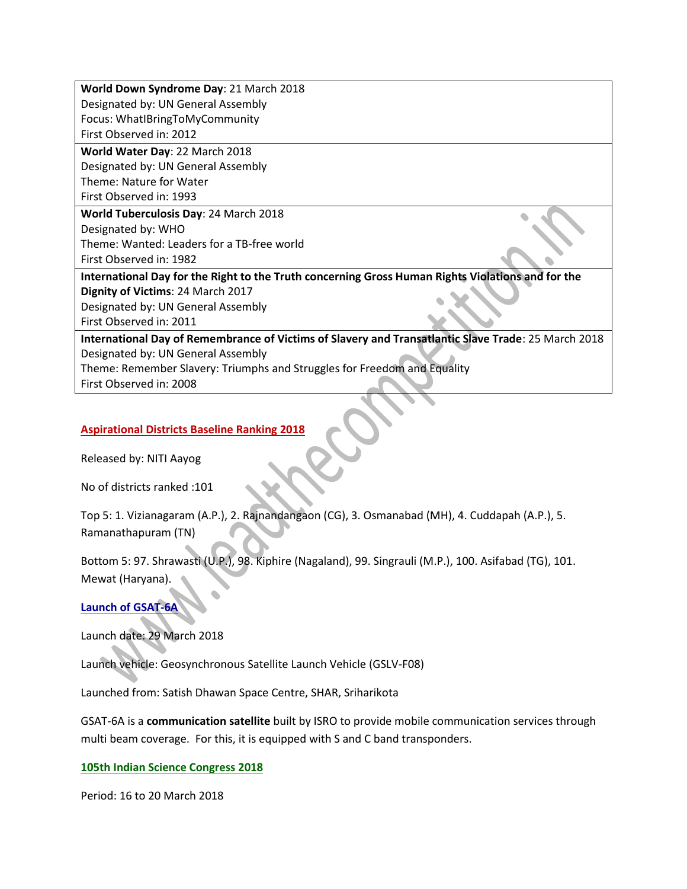**World Down Syndrome Day**: 21 March 2018 Designated by: UN General Assembly Focus: WhatIBringToMyCommunity First Observed in: 2012 **World Water Day**: 22 March 2018 Designated by: UN General Assembly Theme: Nature for Water First Observed in: 1993 **World Tuberculosis Day**: 24 March 2018 Designated by: WHO Theme: Wanted: Leaders for a TB-free world First Observed in: 1982 **International Day for the Right to the Truth concerning Gross Human Rights Violations and for the Dignity of Victims**: 24 March 2017 Designated by: UN General Assembly First Observed in: 2011 **International Day of Remembrance of Victims of Slavery and Transatlantic Slave Trade**: 25 March 2018 Designated by: UN General Assembly Theme: Remember Slavery: Triumphs and Struggles for Freedom and Equality First Observed in: 2008

#### **Aspirational Districts Baseline Ranking 2018**

Released by: NITI Aayog

No of districts ranked :101

Top 5: 1. Vizianagaram (A.P.), 2. Rajnandangaon (CG), 3. Osmanabad (MH), 4. Cuddapah (A.P.), 5. Ramanathapuram (TN)

Bottom 5: 97. Shrawasti (U.P.), 98. Kiphire (Nagaland), 99. Singrauli (M.P.), 100. Asifabad (TG), 101. Mewat (Haryana).

#### **Launch of GSAT-6A**

Launch date: 29 March 2018

Launch vehicle: Geosynchronous Satellite Launch Vehicle (GSLV-F08)

Launched from: Satish Dhawan Space Centre, SHAR, Sriharikota

GSAT-6A is a **communication satellite** built by ISRO to provide mobile communication services through multi beam coverage. For this, it is equipped with S and C band transponders.

**105th Indian Science Congress 2018**

Period: 16 to 20 March 2018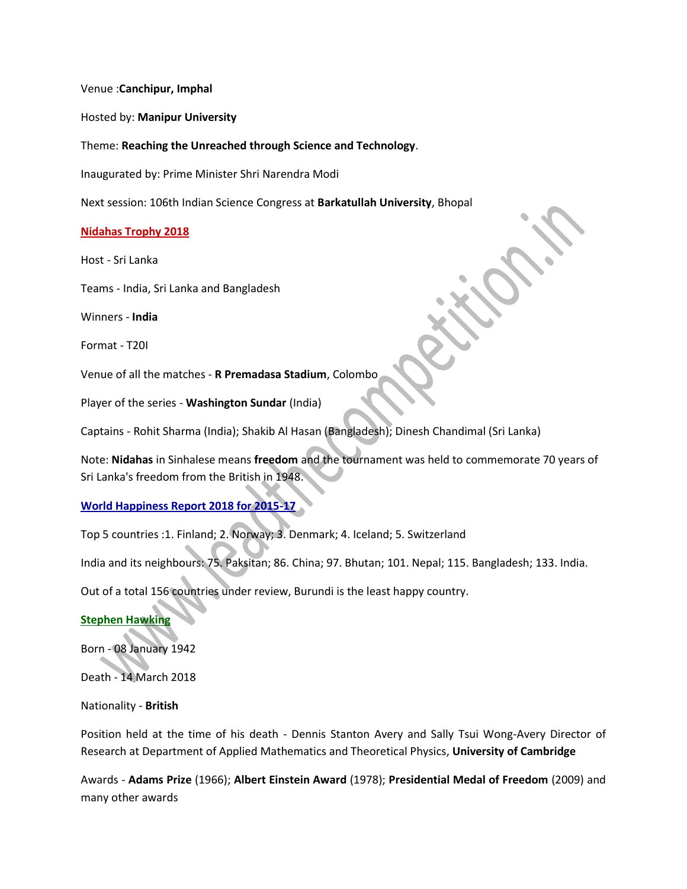Venue :**Canchipur, Imphal**

Hosted by: **Manipur University**

Theme: **Reaching the Unreached through Science and Technology**.

Inaugurated by: Prime Minister Shri Narendra Modi

Next session: 106th Indian Science Congress at **Barkatullah University**, Bhopal

#### **Nidahas Trophy 2018**

Host - Sri Lanka

Teams - India, Sri Lanka and Bangladesh

Winners - **India**

Format - T20I

Venue of all the matches - **R Premadasa Stadium**, Colombo

Player of the series - **Washington Sundar** (India)

Captains - Rohit Sharma (India); Shakib Al Hasan (Bangladesh); Dinesh Chandimal (Sri Lanka)

Note: **Nidahas** in Sinhalese means **freedom** and the tournament was held to commemorate 70 years of Sri Lanka's freedom from the British in 1948.

#### **World Happiness Report 2018 for 2015-17**

Top 5 countries :1. Finland; 2. Norway; 3. Denmark; 4. Iceland; 5. Switzerland

India and its neighbours: 75. Paksitan; 86. China; 97. Bhutan; 101. Nepal; 115. Bangladesh; 133. India.

Out of a total 156 countries under review, Burundi is the least happy country.

#### **Stephen Hawking**

Born - 08 January 1942

Death - 14 March 2018

#### Nationality - **British**

Position held at the time of his death - Dennis Stanton Avery and Sally Tsui Wong-Avery Director of Research at Department of Applied Mathematics and Theoretical Physics, **University of Cambridge**

Awards - **Adams Prize** (1966); **Albert Einstein Award** (1978); **Presidential Medal of Freedom** (2009) and many other awards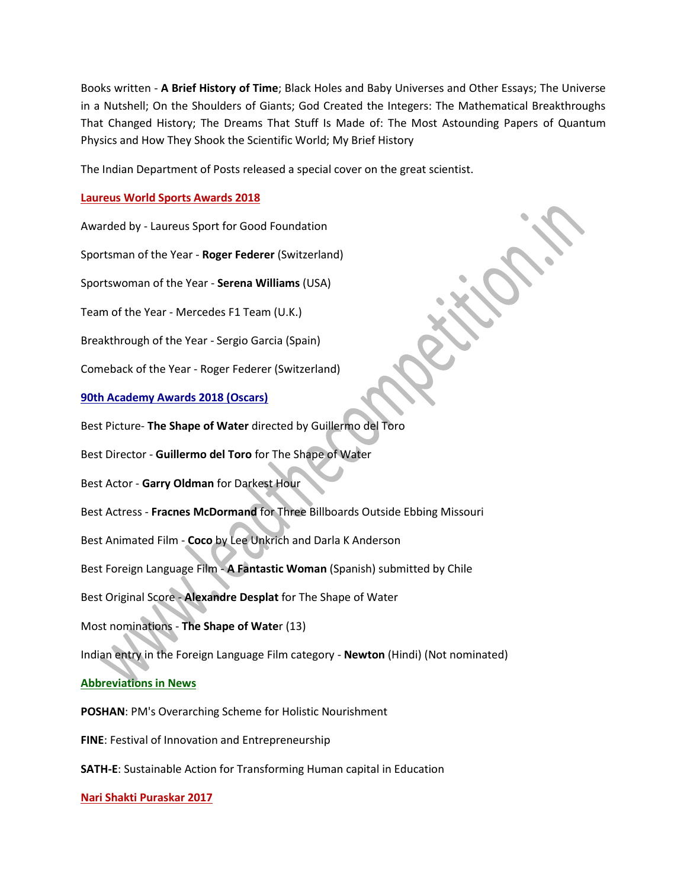Books written - **A Brief History of Time**; Black Holes and Baby Universes and Other Essays; The Universe in a Nutshell; On the Shoulders of Giants; God Created the Integers: The Mathematical Breakthroughs That Changed History; The Dreams That Stuff Is Made of: The Most Astounding Papers of Quantum Physics and How They Shook the Scientific World; My Brief History

The Indian Department of Posts released a special cover on the great scientist.

### **Laureus World Sports Awards 2018**

Awarded by - Laureus Sport for Good Foundation

Sportsman of the Year - **Roger Federer** (Switzerland)

Sportswoman of the Year - **Serena Williams** (USA)

Team of the Year - Mercedes F1 Team (U.K.)

Breakthrough of the Year - Sergio Garcia (Spain)

Comeback of the Year - Roger Federer (Switzerland)

#### **90th Academy Awards 2018 (Oscars)**

Best Picture- **The Shape of Water** directed by Guillermo del Toro

Best Director - **Guillermo del Toro** for The Shape of Water

Best Actor - **Garry Oldman** for Darkest Hour

Best Actress - **Fracnes McDormand** for Three Billboards Outside Ebbing Missouri

Best Animated Film - **Coco** by Lee Unkrich and Darla K Anderson

Best Foreign Language Film - **A Fantastic Woman** (Spanish) submitted by Chile

Best Original Score - **Alexandre Desplat** for The Shape of Water

Most nominations - **The Shape of Wate**r (13)

Indian entry in the Foreign Language Film category - **Newton** (Hindi) (Not nominated)

## **Abbreviations in News**

**POSHAN**: PM's Overarching Scheme for Holistic Nourishment

**FINE**: Festival of Innovation and Entrepreneurship

**SATH-E**: Sustainable Action for Transforming Human capital in Education

#### **Nari Shakti Puraskar 2017**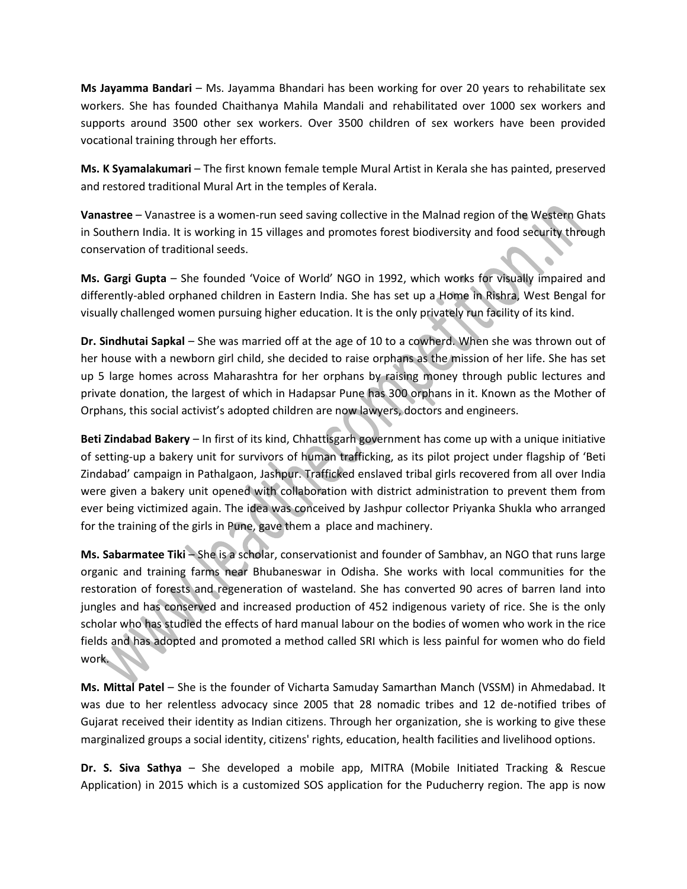**Ms Jayamma Bandari** – Ms. Jayamma Bhandari has been working for over 20 years to rehabilitate sex workers. She has founded Chaithanya Mahila Mandali and rehabilitated over 1000 sex workers and supports around 3500 other sex workers. Over 3500 children of sex workers have been provided vocational training through her efforts.

**Ms. K Syamalakumari** – The first known female temple Mural Artist in Kerala she has painted, preserved and restored traditional Mural Art in the temples of Kerala.

**Vanastree** – Vanastree is a women-run seed saving collective in the Malnad region of the Western Ghats in Southern India. It is working in 15 villages and promotes forest biodiversity and food security through conservation of traditional seeds.

**Ms. Gargi Gupta** – She founded 'Voice of World' NGO in 1992, which works for visually impaired and differently-abled orphaned children in Eastern India. She has set up a Home in Rishra, West Bengal for visually challenged women pursuing higher education. It is the only privately run facility of its kind.

**Dr. Sindhutai Sapkal** – She was married off at the age of 10 to a cowherd. When she was thrown out of her house with a newborn girl child, she decided to raise orphans as the mission of her life. She has set up 5 large homes across Maharashtra for her orphans by raising money through public lectures and private donation, the largest of which in Hadapsar Pune has 300 orphans in it. Known as the Mother of Orphans, this social activist's adopted children are now lawyers, doctors and engineers.

**Beti Zindabad Bakery** – In first of its kind, Chhattisgarh government has come up with a unique initiative of setting-up a bakery unit for survivors of human trafficking, as its pilot project under flagship of 'Beti Zindabad' campaign in Pathalgaon, Jashpur. Trafficked enslaved tribal girls recovered from all over India were given a bakery unit opened with collaboration with district administration to prevent them from ever being victimized again. The idea was conceived by Jashpur collector Priyanka Shukla who arranged for the training of the girls in Pune, gave them a place and machinery.

**Ms. Sabarmatee Tiki** – She is a scholar, conservationist and founder of Sambhav, an NGO that runs large organic and training farms near Bhubaneswar in Odisha. She works with local communities for the restoration of forests and regeneration of wasteland. She has converted 90 acres of barren land into jungles and has conserved and increased production of 452 indigenous variety of rice. She is the only scholar who has studied the effects of hard manual labour on the bodies of women who work in the rice fields and has adopted and promoted a method called SRI which is less painful for women who do field work.

**Ms. Mittal Patel** – She is the founder of Vicharta Samuday Samarthan Manch (VSSM) in Ahmedabad. It was due to her relentless advocacy since 2005 that 28 nomadic tribes and 12 de-notified tribes of Gujarat received their identity as Indian citizens. Through her organization, she is working to give these marginalized groups a social identity, citizens' rights, education, health facilities and livelihood options.

**Dr. S. Siva Sathya** – She developed a mobile app, MITRA (Mobile Initiated Tracking & Rescue Application) in 2015 which is a customized SOS application for the Puducherry region. The app is now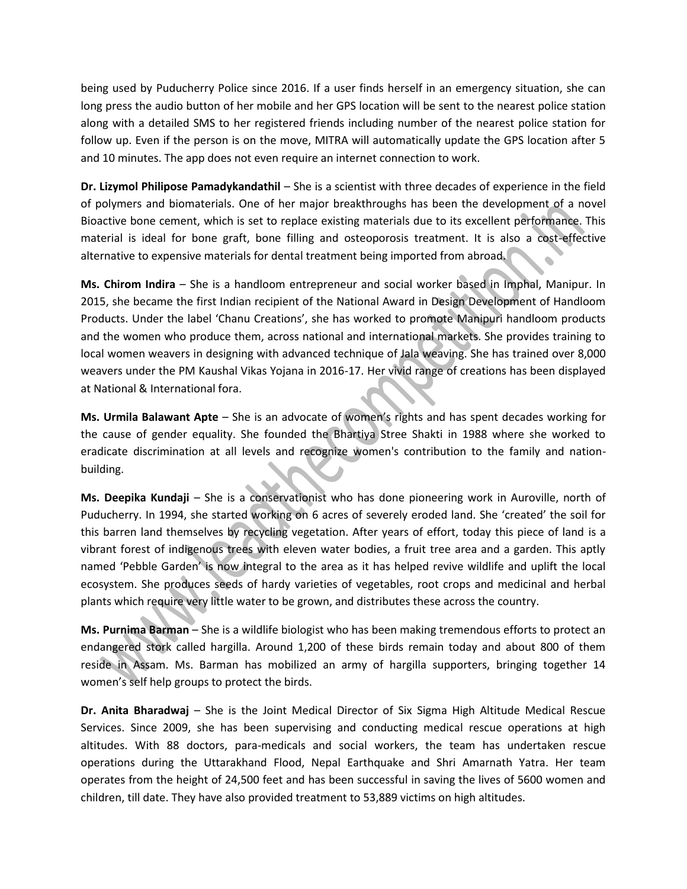being used by Puducherry Police since 2016. If a user finds herself in an emergency situation, she can long press the audio button of her mobile and her GPS location will be sent to the nearest police station along with a detailed SMS to her registered friends including number of the nearest police station for follow up. Even if the person is on the move, MITRA will automatically update the GPS location after 5 and 10 minutes. The app does not even require an internet connection to work.

**Dr. Lizymol Philipose Pamadykandathil** – She is a scientist with three decades of experience in the field of polymers and biomaterials. One of her major breakthroughs has been the development of a novel Bioactive bone cement, which is set to replace existing materials due to its excellent performance. This material is ideal for bone graft, bone filling and osteoporosis treatment. It is also a cost-effective alternative to expensive materials for dental treatment being imported from abroad.

**Ms. Chirom Indira** – She is a handloom entrepreneur and social worker based in Imphal, Manipur. In 2015, she became the first Indian recipient of the National Award in Design Development of Handloom Products. Under the label 'Chanu Creations', she has worked to promote Manipuri handloom products and the women who produce them, across national and international markets. She provides training to local women weavers in designing with advanced technique of Jala weaving. She has trained over 8,000 weavers under the PM Kaushal Vikas Yojana in 2016-17. Her vivid range of creations has been displayed at National & International fora.

**Ms. Urmila Balawant Apte** – She is an advocate of women's rights and has spent decades working for the cause of gender equality. She founded the Bhartiya Stree Shakti in 1988 where she worked to eradicate discrimination at all levels and recognize women's contribution to the family and nationbuilding.

**Ms. Deepika Kundaji** – She is a conservationist who has done pioneering work in Auroville, north of Puducherry. In 1994, she started working on 6 acres of severely eroded land. She 'created' the soil for this barren land themselves by recycling vegetation. After years of effort, today this piece of land is a vibrant forest of indigenous trees with eleven water bodies, a fruit tree area and a garden. This aptly named 'Pebble Garden' is now integral to the area as it has helped revive wildlife and uplift the local ecosystem. She produces seeds of hardy varieties of vegetables, root crops and medicinal and herbal plants which require very little water to be grown, and distributes these across the country.

**Ms. Purnima Barman** – She is a wildlife biologist who has been making tremendous efforts to protect an endangered stork called hargilla. Around 1,200 of these birds remain today and about 800 of them reside in Assam. Ms. Barman has mobilized an army of hargilla supporters, bringing together 14 women's self help groups to protect the birds.

**Dr. Anita Bharadwaj** – She is the Joint Medical Director of Six Sigma High Altitude Medical Rescue Services. Since 2009, she has been supervising and conducting medical rescue operations at high altitudes. With 88 doctors, para-medicals and social workers, the team has undertaken rescue operations during the Uttarakhand Flood, Nepal Earthquake and Shri Amarnath Yatra. Her team operates from the height of 24,500 feet and has been successful in saving the lives of 5600 women and children, till date. They have also provided treatment to 53,889 victims on high altitudes.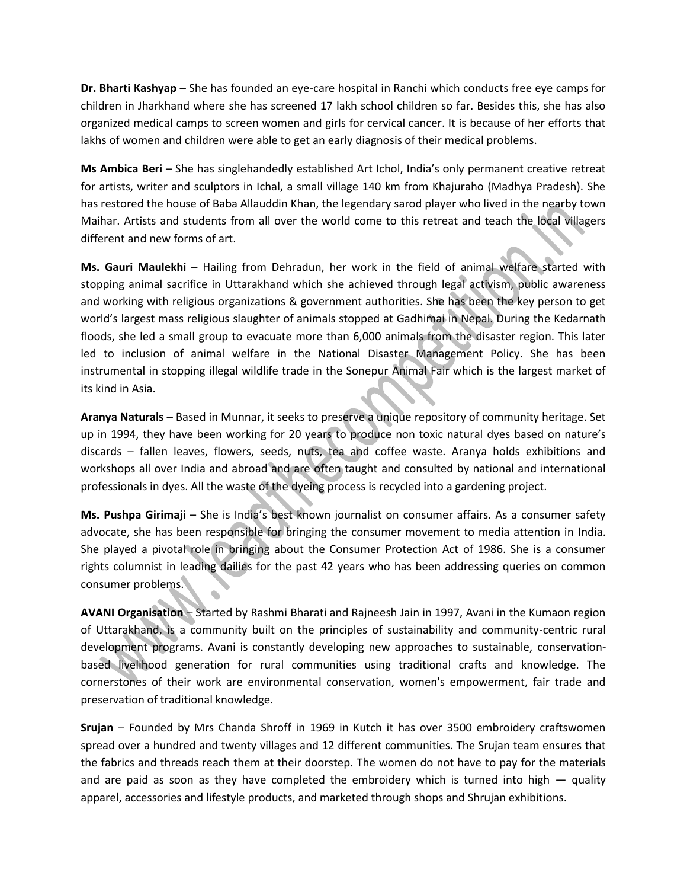**Dr. Bharti Kashyap** – She has founded an eye-care hospital in Ranchi which conducts free eye camps for children in Jharkhand where she has screened 17 lakh school children so far. Besides this, she has also organized medical camps to screen women and girls for cervical cancer. It is because of her efforts that lakhs of women and children were able to get an early diagnosis of their medical problems.

**Ms Ambica Beri** – She has singlehandedly established Art Ichol, India's only permanent creative retreat for artists, writer and sculptors in Ichal, a small village 140 km from Khajuraho (Madhya Pradesh). She has restored the house of Baba Allauddin Khan, the legendary sarod player who lived in the nearby town Maihar. Artists and students from all over the world come to this retreat and teach the local villagers different and new forms of art.

**Ms. Gauri Maulekhi** – Hailing from Dehradun, her work in the field of animal welfare started with stopping animal sacrifice in Uttarakhand which she achieved through legal activism, public awareness and working with religious organizations & government authorities. She has been the key person to get world's largest mass religious slaughter of animals stopped at Gadhimai in Nepal. During the Kedarnath floods, she led a small group to evacuate more than 6,000 animals from the disaster region. This later led to inclusion of animal welfare in the National Disaster Management Policy. She has been instrumental in stopping illegal wildlife trade in the Sonepur Animal Fair which is the largest market of its kind in Asia.

**Aranya Naturals** – Based in Munnar, it seeks to preserve a unique repository of community heritage. Set up in 1994, they have been working for 20 years to produce non toxic natural dyes based on nature's discards – fallen leaves, flowers, seeds, nuts, tea and coffee waste. Aranya holds exhibitions and workshops all over India and abroad and are often taught and consulted by national and international professionals in dyes. All the waste of the dyeing process is recycled into a gardening project.

**Ms. Pushpa Girimaji** – She is India's best known journalist on consumer affairs. As a consumer safety advocate, she has been responsible for bringing the consumer movement to media attention in India. She played a pivotal role in bringing about the Consumer Protection Act of 1986. She is a consumer rights columnist in leading dailies for the past 42 years who has been addressing queries on common consumer problems.

**AVANI Organisation** – Started by Rashmi Bharati and Rajneesh Jain in 1997, Avani in the Kumaon region of Uttarakhand, is a community built on the principles of sustainability and community-centric rural development programs. Avani is constantly developing new approaches to sustainable, conservationbased livelihood generation for rural communities using traditional crafts and knowledge. The cornerstones of their work are environmental conservation, women's empowerment, fair trade and preservation of traditional knowledge.

**Srujan** – Founded by Mrs Chanda Shroff in 1969 in Kutch it has over 3500 embroidery craftswomen spread over a hundred and twenty villages and 12 different communities. The Srujan team ensures that the fabrics and threads reach them at their doorstep. The women do not have to pay for the materials and are paid as soon as they have completed the embroidery which is turned into high  $-$  quality apparel, accessories and lifestyle products, and marketed through shops and Shrujan exhibitions.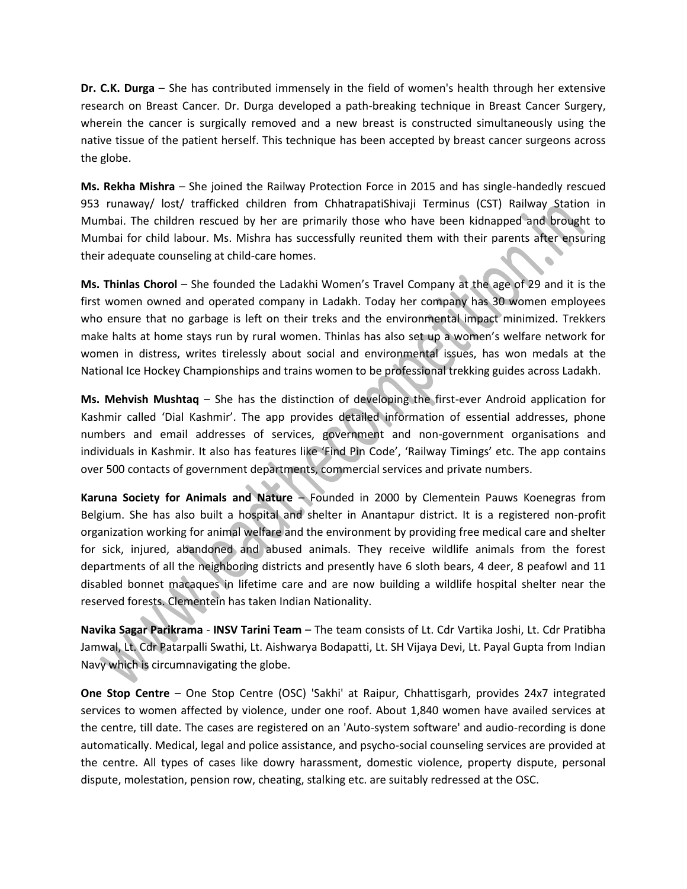**Dr. C.K. Durga** – She has contributed immensely in the field of women's health through her extensive research on Breast Cancer. Dr. Durga developed a path-breaking technique in Breast Cancer Surgery, wherein the cancer is surgically removed and a new breast is constructed simultaneously using the native tissue of the patient herself. This technique has been accepted by breast cancer surgeons across the globe.

**Ms. Rekha Mishra** – She joined the Railway Protection Force in 2015 and has single-handedly rescued 953 runaway/ lost/ trafficked children from ChhatrapatiShivaji Terminus (CST) Railway Station in Mumbai. The children rescued by her are primarily those who have been kidnapped and brought to Mumbai for child labour. Ms. Mishra has successfully reunited them with their parents after ensuring their adequate counseling at child-care homes.

**Ms. Thinlas Chorol** – She founded the Ladakhi Women's Travel Company at the age of 29 and it is the first women owned and operated company in Ladakh. Today her company has 30 women employees who ensure that no garbage is left on their treks and the environmental impact minimized. Trekkers make halts at home stays run by rural women. Thinlas has also set up a women's welfare network for women in distress, writes tirelessly about social and environmental issues, has won medals at the National Ice Hockey Championships and trains women to be professional trekking guides across Ladakh.

**Ms. Mehvish Mushtaq** – She has the distinction of developing the first-ever Android application for Kashmir called 'Dial Kashmir'. The app provides detailed information of essential addresses, phone numbers and email addresses of services, government and non-government organisations and individuals in Kashmir. It also has features like 'Find Pin Code', 'Railway Timings' etc. The app contains over 500 contacts of government departments, commercial services and private numbers.

**Karuna Society for Animals and Nature** – Founded in 2000 by Clementein Pauws Koenegras from Belgium. She has also built a hospital and shelter in Anantapur district. It is a registered non-profit organization working for animal welfare and the environment by providing free medical care and shelter for sick, injured, abandoned and abused animals. They receive wildlife animals from the forest departments of all the neighboring districts and presently have 6 sloth bears, 4 deer, 8 peafowl and 11 disabled bonnet macaques in lifetime care and are now building a wildlife hospital shelter near the reserved forests. Clementein has taken Indian Nationality.

**Navika Sagar Parikrama** - **INSV Tarini Team** – The team consists of Lt. Cdr Vartika Joshi, Lt. Cdr Pratibha Jamwal, Lt. Cdr Patarpalli Swathi, Lt. Aishwarya Bodapatti, Lt. SH Vijaya Devi, Lt. Payal Gupta from Indian Navy which is circumnavigating the globe.

**One Stop Centre** – One Stop Centre (OSC) 'Sakhi' at Raipur, Chhattisgarh, provides 24x7 integrated services to women affected by violence, under one roof. About 1,840 women have availed services at the centre, till date. The cases are registered on an 'Auto-system software' and audio-recording is done automatically. Medical, legal and police assistance, and psycho-social counseling services are provided at the centre. All types of cases like dowry harassment, domestic violence, property dispute, personal dispute, molestation, pension row, cheating, stalking etc. are suitably redressed at the OSC.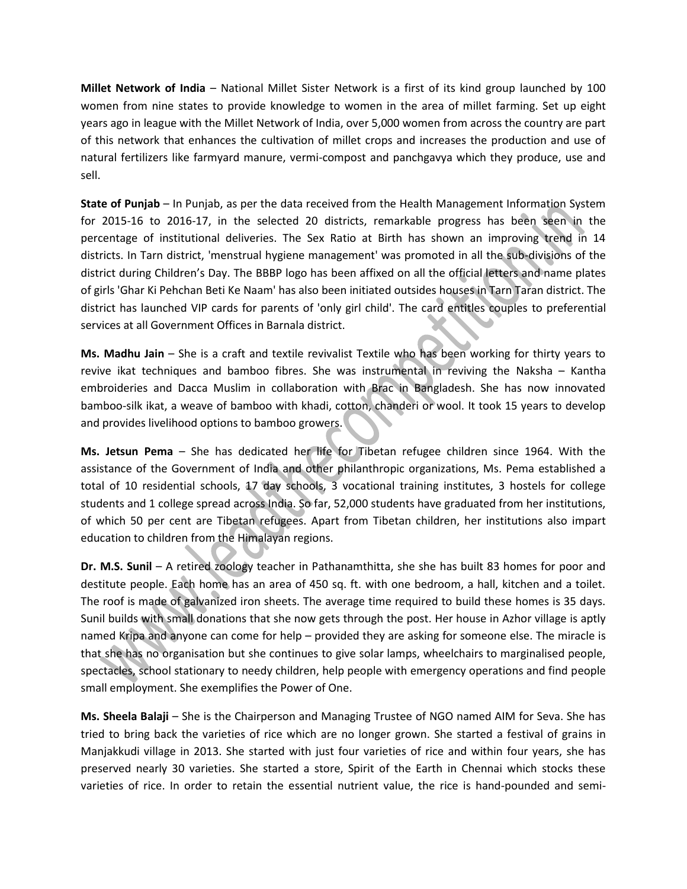**Millet Network of India** – National Millet Sister Network is a first of its kind group launched by 100 women from nine states to provide knowledge to women in the area of millet farming. Set up eight years ago in league with the Millet Network of India, over 5,000 women from across the country are part of this network that enhances the cultivation of millet crops and increases the production and use of natural fertilizers like farmyard manure, vermi-compost and panchgavya which they produce, use and sell.

**State of Punjab** – In Punjab, as per the data received from the Health Management Information System for 2015-16 to 2016-17, in the selected 20 districts, remarkable progress has been seen in the percentage of institutional deliveries. The Sex Ratio at Birth has shown an improving trend in 14 districts. In Tarn district, 'menstrual hygiene management' was promoted in all the sub-divisions of the district during Children's Day. The BBBP logo has been affixed on all the official letters and name plates of girls 'Ghar Ki Pehchan Beti Ke Naam' has also been initiated outsides houses in Tarn Taran district. The district has launched VIP cards for parents of 'only girl child'. The card entitles couples to preferential services at all Government Offices in Barnala district.

**Ms. Madhu Jain** – She is a craft and textile revivalist Textile who has been working for thirty years to revive ikat techniques and bamboo fibres. She was instrumental in reviving the Naksha – Kantha embroideries and Dacca Muslim in collaboration with Brac in Bangladesh. She has now innovated bamboo-silk ikat, a weave of bamboo with khadi, cotton, chanderi or wool. It took 15 years to develop and provides livelihood options to bamboo growers.

**Ms. Jetsun Pema** – She has dedicated her life for Tibetan refugee children since 1964. With the assistance of the Government of India and other philanthropic organizations, Ms. Pema established a total of 10 residential schools, 17 day schools, 3 vocational training institutes, 3 hostels for college students and 1 college spread across India. So far, 52,000 students have graduated from her institutions, of which 50 per cent are Tibetan refugees. Apart from Tibetan children, her institutions also impart education to children from the Himalayan regions.

**Dr. M.S. Sunil** – A retired zoology teacher in Pathanamthitta, she she has built 83 homes for poor and destitute people. Each home has an area of 450 sq. ft. with one bedroom, a hall, kitchen and a toilet. The roof is made of galvanized iron sheets. The average time required to build these homes is 35 days. Sunil builds with small donations that she now gets through the post. Her house in Azhor village is aptly named Kripa and anyone can come for help – provided they are asking for someone else. The miracle is that she has no organisation but she continues to give solar lamps, wheelchairs to marginalised people, spectacles, school stationary to needy children, help people with emergency operations and find people small employment. She exemplifies the Power of One.

**Ms. Sheela Balaji** – She is the Chairperson and Managing Trustee of NGO named AIM for Seva. She has tried to bring back the varieties of rice which are no longer grown. She started a festival of grains in Manjakkudi village in 2013. She started with just four varieties of rice and within four years, she has preserved nearly 30 varieties. She started a store, Spirit of the Earth in Chennai which stocks these varieties of rice. In order to retain the essential nutrient value, the rice is hand-pounded and semi-